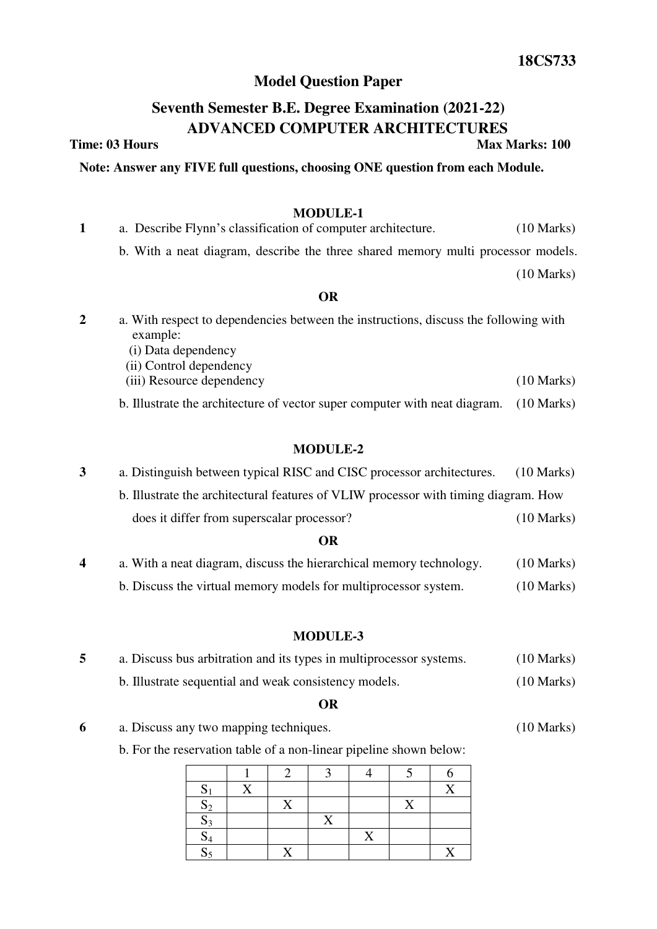# **Model Question Paper**

# **Seventh Semester B.E. Degree Examination (2021-22) ADVANCED COMPUTER ARCHITECTURES**

**Time: 03 Hours Max Marks: 100** 

## **Note: Answer any FIVE full questions, choosing ONE question from each Module.**

# **MODULE-1**

| 1 | a. Describe Flynn's classification of computer architecture.                                                                                       | $(10 \text{ Marks})$ |  |
|---|----------------------------------------------------------------------------------------------------------------------------------------------------|----------------------|--|
|   | b. With a neat diagram, describe the three shared memory multi processor models.                                                                   |                      |  |
|   |                                                                                                                                                    | $(10 \text{ Marks})$ |  |
|   | <b>OR</b>                                                                                                                                          |                      |  |
| 2 | a. With respect to dependencies between the instructions, discuss the following with<br>example:<br>(i) Data dependency<br>(ii) Control dependency |                      |  |
|   | (iii) Resource dependency                                                                                                                          | $(10 \text{ Marks})$ |  |
|   | b. Illustrate the architecture of vector super computer with neat diagram.                                                                         | $(10 \text{ Marks})$ |  |

# **MODULE-2**

# **3** a. Distinguish between typical RISC and CISC processor architectures. (10 Marks) b. Illustrate the architectural features of VLIW processor with timing diagram. How does it differ from superscalar processor? (10 Marks)

# **OR**

**4** a. With a neat diagram, discuss the hierarchical memory technology. (10 Marks) b. Discuss the virtual memory models for multiprocessor system. (10 Marks)

# **MODULE-3**

| a. Discuss bus arbitration and its types in multiprocessor systems. | $(10 \text{ Marks})$ |
|---------------------------------------------------------------------|----------------------|
| b. Illustrate sequential and weak consistency models.               | $(10 \text{ Marks})$ |

#### **OR**

**6** a. Discuss any two mapping techniques. (10 Marks)

b. For the reservation table of a non-linear pipeline shown below:

| $\mathbf C$<br>$\mathbf{D}$ | $\rm\overline{X}$ |   |   |   |           |  |
|-----------------------------|-------------------|---|---|---|-----------|--|
| $S_2$                       |                   |   |   |   | $\Lambda$ |  |
| $S_3$                       |                   |   | △ |   |           |  |
| $\mathrm{S}_4$              |                   |   |   | X |           |  |
| $S_5$                       |                   | v |   |   |           |  |